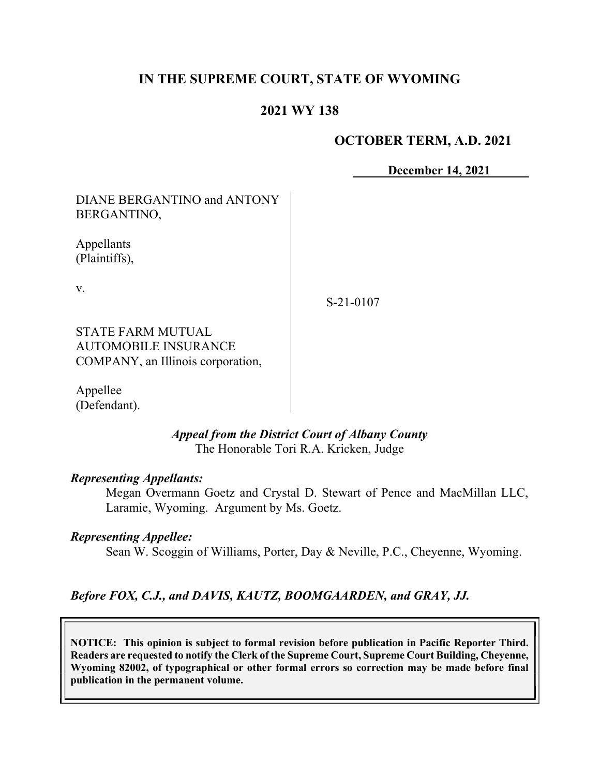# IN THE SUPREME COURT, STATE OF WYOMING

## 2021 WY 138

### OCTOBER TERM, A.D. 2021

December 14, 2021

DIANE BERGANTINO and ANTONY BERGANTINO,

Appellants (Plaintiffs),

v.

S-21-0107

STATE FARM MUTUAL AUTOMOBILE INSURANCE COMPANY, an Illinois corporation,

Appellee (Defendant).

## Appeal from the District Court of Albany County The Honorable Tori R.A. Kricken, Judge

#### Representing Appellants:

Megan Overmann Goetz and Crystal D. Stewart of Pence and MacMillan LLC, Laramie, Wyoming. Argument by Ms. Goetz.

#### Representing Appellee:

Sean W. Scoggin of Williams, Porter, Day & Neville, P.C., Cheyenne, Wyoming.

#### Before FOX, C.J., and DAVIS, KAUTZ, BOOMGAARDEN, and GRAY, JJ.

NOTICE: This opinion is subject to formal revision before publication in Pacific Reporter Third. Readers are requested to notify the Clerk of the Supreme Court, Supreme Court Building, Cheyenne, Wyoming 82002, of typographical or other formal errors so correction may be made before final publication in the permanent volume.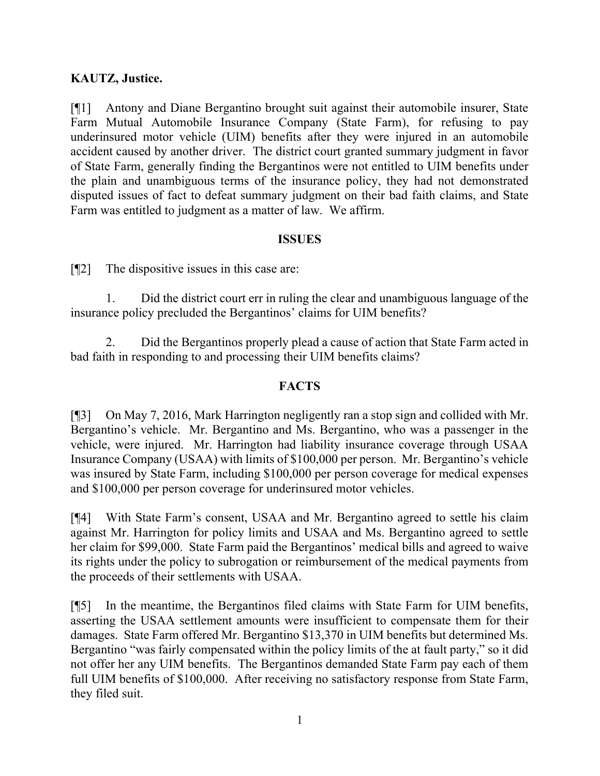## KAUTZ, Justice.

[¶1] Antony and Diane Bergantino brought suit against their automobile insurer, State Farm Mutual Automobile Insurance Company (State Farm), for refusing to pay underinsured motor vehicle (UIM) benefits after they were injured in an automobile accident caused by another driver. The district court granted summary judgment in favor of State Farm, generally finding the Bergantinos were not entitled to UIM benefits under the plain and unambiguous terms of the insurance policy, they had not demonstrated disputed issues of fact to defeat summary judgment on their bad faith claims, and State Farm was entitled to judgment as a matter of law. We affirm.

### ISSUES

[¶2] The dispositive issues in this case are:

1. Did the district court err in ruling the clear and unambiguous language of the insurance policy precluded the Bergantinos' claims for UIM benefits?

2. Did the Bergantinos properly plead a cause of action that State Farm acted in bad faith in responding to and processing their UIM benefits claims?

## **FACTS**

[¶3] On May 7, 2016, Mark Harrington negligently ran a stop sign and collided with Mr. Bergantino's vehicle. Mr. Bergantino and Ms. Bergantino, who was a passenger in the vehicle, were injured. Mr. Harrington had liability insurance coverage through USAA Insurance Company (USAA) with limits of \$100,000 per person. Mr. Bergantino's vehicle was insured by State Farm, including \$100,000 per person coverage for medical expenses and \$100,000 per person coverage for underinsured motor vehicles.

[¶4] With State Farm's consent, USAA and Mr. Bergantino agreed to settle his claim against Mr. Harrington for policy limits and USAA and Ms. Bergantino agreed to settle her claim for \$99,000. State Farm paid the Bergantinos' medical bills and agreed to waive its rights under the policy to subrogation or reimbursement of the medical payments from the proceeds of their settlements with USAA.

[¶5] In the meantime, the Bergantinos filed claims with State Farm for UIM benefits, asserting the USAA settlement amounts were insufficient to compensate them for their damages. State Farm offered Mr. Bergantino \$13,370 in UIM benefits but determined Ms. Bergantino "was fairly compensated within the policy limits of the at fault party," so it did not offer her any UIM benefits. The Bergantinos demanded State Farm pay each of them full UIM benefits of \$100,000. After receiving no satisfactory response from State Farm, they filed suit.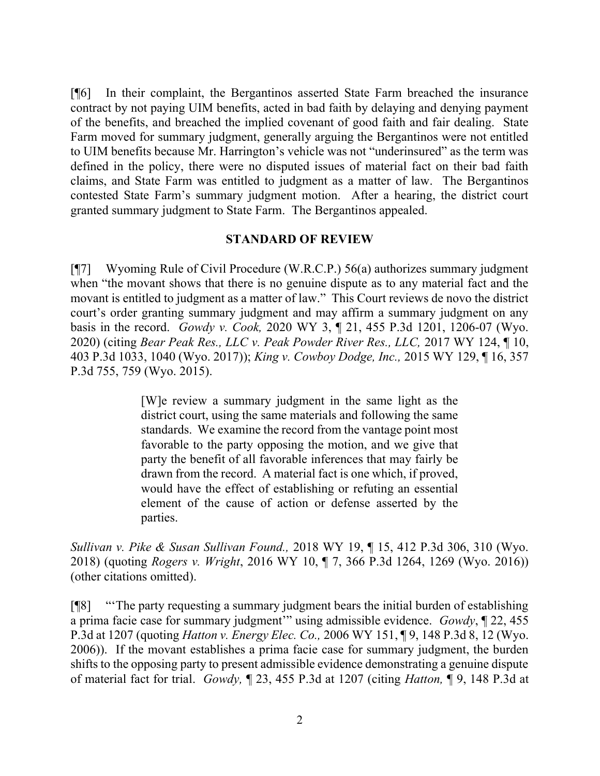[¶6] In their complaint, the Bergantinos asserted State Farm breached the insurance contract by not paying UIM benefits, acted in bad faith by delaying and denying payment of the benefits, and breached the implied covenant of good faith and fair dealing. State Farm moved for summary judgment, generally arguing the Bergantinos were not entitled to UIM benefits because Mr. Harrington's vehicle was not "underinsured" as the term was defined in the policy, there were no disputed issues of material fact on their bad faith claims, and State Farm was entitled to judgment as a matter of law. The Bergantinos contested State Farm's summary judgment motion. After a hearing, the district court granted summary judgment to State Farm. The Bergantinos appealed.

#### STANDARD OF REVIEW

[¶7] Wyoming Rule of Civil Procedure (W.R.C.P.) 56(a) authorizes summary judgment when "the movant shows that there is no genuine dispute as to any material fact and the movant is entitled to judgment as a matter of law." This Court reviews de novo the district court's order granting summary judgment and may affirm a summary judgment on any basis in the record. Gowdy v. Cook, 2020 WY 3, ¶ 21, 455 P.3d 1201, 1206-07 (Wyo. 2020) (citing Bear Peak Res., LLC v. Peak Powder River Res., LLC, 2017 WY 124, ¶ 10, 403 P.3d 1033, 1040 (Wyo. 2017)); King v. Cowboy Dodge, Inc., 2015 WY 129, ¶ 16, 357 P.3d 755, 759 (Wyo. 2015).

> [W]e review a summary judgment in the same light as the district court, using the same materials and following the same standards. We examine the record from the vantage point most favorable to the party opposing the motion, and we give that party the benefit of all favorable inferences that may fairly be drawn from the record. A material fact is one which, if proved, would have the effect of establishing or refuting an essential element of the cause of action or defense asserted by the parties.

Sullivan v. Pike & Susan Sullivan Found., 2018 WY 19, ¶ 15, 412 P.3d 306, 310 (Wyo. 2018) (quoting Rogers v. Wright, 2016 WY 10, ¶ 7, 366 P.3d 1264, 1269 (Wyo. 2016)) (other citations omitted).

[¶8] "'The party requesting a summary judgment bears the initial burden of establishing a prima facie case for summary judgment'" using admissible evidence. Gowdy, ¶ 22, 455 P.3d at 1207 (quoting Hatton v. Energy Elec. Co., 2006 WY 151, ¶ 9, 148 P.3d 8, 12 (Wyo. 2006)). If the movant establishes a prima facie case for summary judgment, the burden shifts to the opposing party to present admissible evidence demonstrating a genuine dispute of material fact for trial. Gowdy, ¶ 23, 455 P.3d at 1207 (citing Hatton, ¶ 9, 148 P.3d at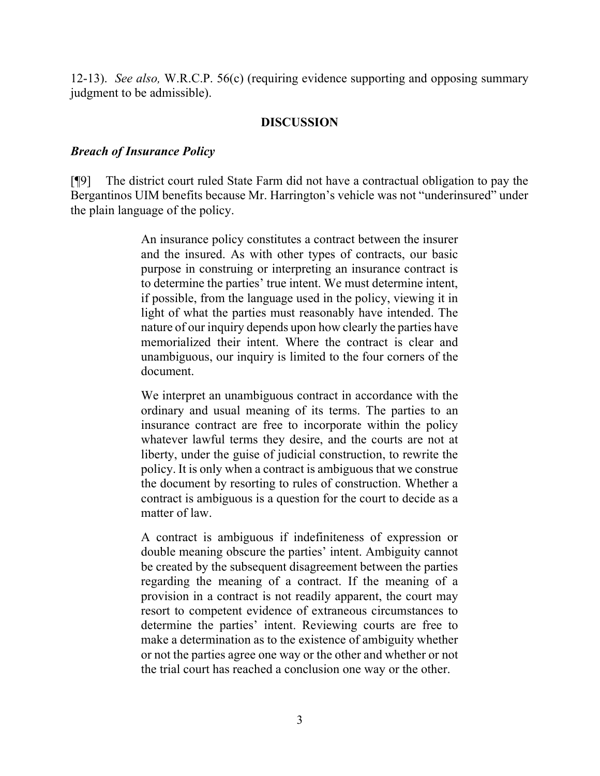12-13). See also, W.R.C.P. 56(c) (requiring evidence supporting and opposing summary judgment to be admissible).

#### DISCUSSION

#### Breach of Insurance Policy

[¶9] The district court ruled State Farm did not have a contractual obligation to pay the Bergantinos UIM benefits because Mr. Harrington's vehicle was not "underinsured" under the plain language of the policy.

> An insurance policy constitutes a contract between the insurer and the insured. As with other types of contracts, our basic purpose in construing or interpreting an insurance contract is to determine the parties' true intent. We must determine intent, if possible, from the language used in the policy, viewing it in light of what the parties must reasonably have intended. The nature of our inquiry depends upon how clearly the parties have memorialized their intent. Where the contract is clear and unambiguous, our inquiry is limited to the four corners of the document.

> We interpret an unambiguous contract in accordance with the ordinary and usual meaning of its terms. The parties to an insurance contract are free to incorporate within the policy whatever lawful terms they desire, and the courts are not at liberty, under the guise of judicial construction, to rewrite the policy. It is only when a contract is ambiguous that we construe the document by resorting to rules of construction. Whether a contract is ambiguous is a question for the court to decide as a matter of law.

> A contract is ambiguous if indefiniteness of expression or double meaning obscure the parties' intent. Ambiguity cannot be created by the subsequent disagreement between the parties regarding the meaning of a contract. If the meaning of a provision in a contract is not readily apparent, the court may resort to competent evidence of extraneous circumstances to determine the parties' intent. Reviewing courts are free to make a determination as to the existence of ambiguity whether or not the parties agree one way or the other and whether or not the trial court has reached a conclusion one way or the other.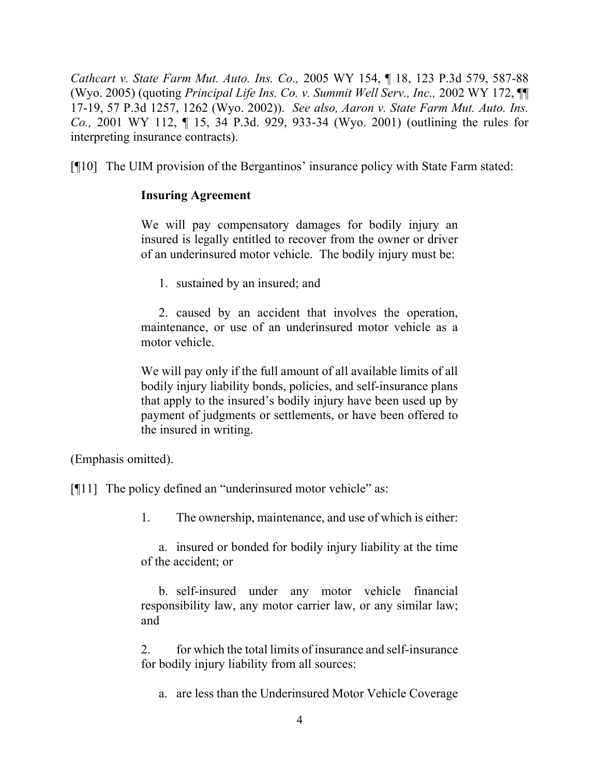Cathcart v. State Farm Mut. Auto. Ins. Co., 2005 WY 154, ¶ 18, 123 P.3d 579, 587-88 (Wyo. 2005) (quoting Principal Life Ins. Co. v. Summit Well Serv., Inc., 2002 WY 172, ¶¶ 17-19, 57 P.3d 1257, 1262 (Wyo. 2002)). See also, Aaron v. State Farm Mut. Auto. Ins. Co., 2001 WY 112, ¶ 15, 34 P.3d. 929, 933-34 (Wyo. 2001) (outlining the rules for interpreting insurance contracts).

[¶10] The UIM provision of the Bergantinos' insurance policy with State Farm stated:

### Insuring Agreement

We will pay compensatory damages for bodily injury an insured is legally entitled to recover from the owner or driver of an underinsured motor vehicle. The bodily injury must be:

1. sustained by an insured; and

2. caused by an accident that involves the operation, maintenance, or use of an underinsured motor vehicle as a motor vehicle.

We will pay only if the full amount of all available limits of all bodily injury liability bonds, policies, and self-insurance plans that apply to the insured's bodily injury have been used up by payment of judgments or settlements, or have been offered to the insured in writing.

(Emphasis omitted).

[¶11] The policy defined an "underinsured motor vehicle" as:

1. The ownership, maintenance, and use of which is either:

a. insured or bonded for bodily injury liability at the time of the accident; or

b. self-insured under any motor vehicle financial responsibility law, any motor carrier law, or any similar law; and

2. for which the total limits of insurance and self-insurance for bodily injury liability from all sources:

a. are less than the Underinsured Motor Vehicle Coverage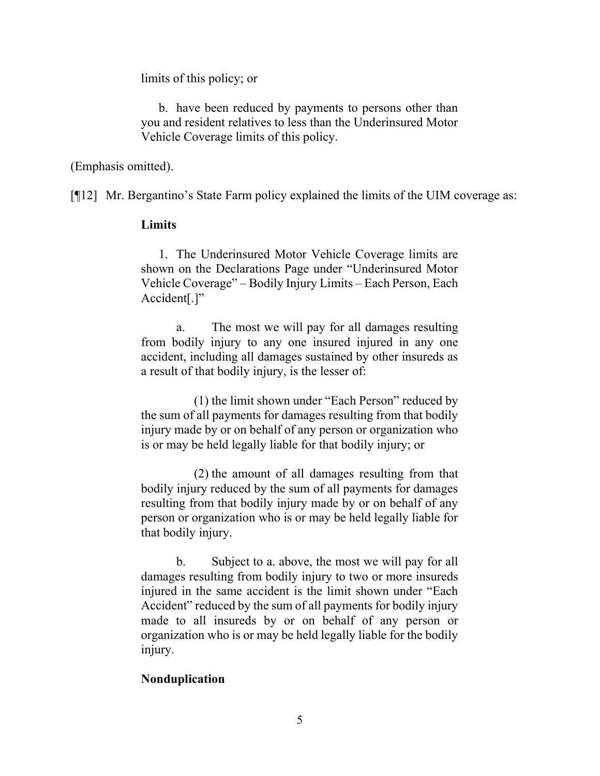limits of this policy; or

b. have been reduced by payments to persons other than you and resident relatives to less than the Underinsured Motor Vehicle Coverage limits of this policy.

(Emphasis omitted).

[¶12] Mr. Bergantino's State Farm policy explained the limits of the UIM coverage as:

#### Limits

1. The Underinsured Motor Vehicle Coverage limits are shown on the Declarations Page under "Underinsured Motor Vehicle Coverage" – Bodily Injury Limits – Each Person, Each Accident[.]"

a. The most we will pay for all damages resulting from bodily injury to any one insured injured in any one accident, including all damages sustained by other insureds as a result of that bodily injury, is the lesser of:

(1) the limit shown under "Each Person" reduced by the sum of all payments for damages resulting from that bodily injury made by or on behalf of any person or organization who is or may be held legally liable for that bodily injury; or

(2) the amount of all damages resulting from that bodily injury reduced by the sum of all payments for damages resulting from that bodily injury made by or on behalf of any person or organization who is or may be held legally liable for that bodily injury.

b. Subject to a. above, the most we will pay for all damages resulting from bodily injury to two or more insureds injured in the same accident is the limit shown under "Each Accident" reduced by the sum of all payments for bodily injury made to all insureds by or on behalf of any person or organization who is or may be held legally liable for the bodily injury.

## Nonduplication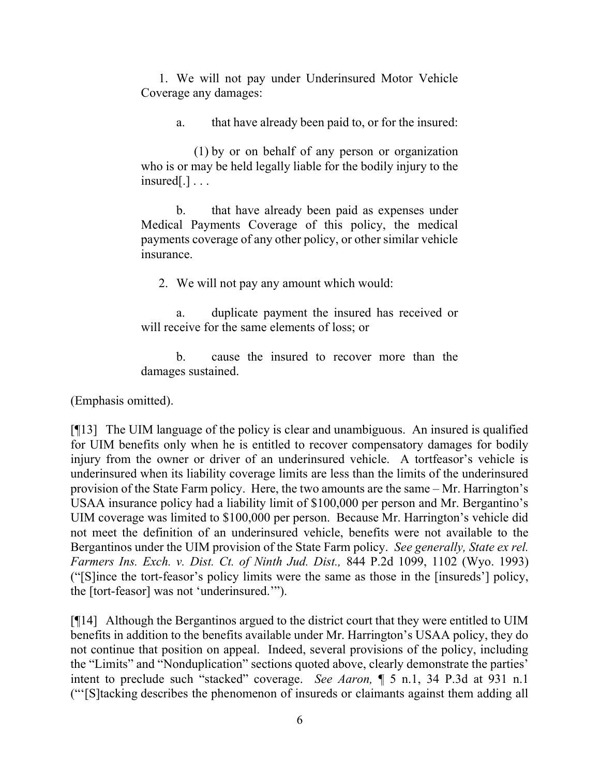1. We will not pay under Underinsured Motor Vehicle Coverage any damages:

a. that have already been paid to, or for the insured:

(1) by or on behalf of any person or organization who is or may be held legally liable for the bodily injury to the insured[.] . . .

b. that have already been paid as expenses under Medical Payments Coverage of this policy, the medical payments coverage of any other policy, or other similar vehicle insurance.

2. We will not pay any amount which would:

a. duplicate payment the insured has received or will receive for the same elements of loss; or

b. cause the insured to recover more than the damages sustained.

(Emphasis omitted).

[¶13] The UIM language of the policy is clear and unambiguous. An insured is qualified for UIM benefits only when he is entitled to recover compensatory damages for bodily injury from the owner or driver of an underinsured vehicle. A tortfeasor's vehicle is underinsured when its liability coverage limits are less than the limits of the underinsured provision of the State Farm policy. Here, the two amounts are the same – Mr. Harrington's USAA insurance policy had a liability limit of \$100,000 per person and Mr. Bergantino's UIM coverage was limited to \$100,000 per person. Because Mr. Harrington's vehicle did not meet the definition of an underinsured vehicle, benefits were not available to the Bergantinos under the UIM provision of the State Farm policy. See generally, State ex rel. Farmers Ins. Exch. v. Dist. Ct. of Ninth Jud. Dist., 844 P.2d 1099, 1102 (Wyo. 1993) ("[S]ince the tort-feasor's policy limits were the same as those in the [insureds'] policy, the [tort-feasor] was not 'underinsured.'").

[¶14] Although the Bergantinos argued to the district court that they were entitled to UIM benefits in addition to the benefits available under Mr. Harrington's USAA policy, they do not continue that position on appeal. Indeed, several provisions of the policy, including the "Limits" and "Nonduplication" sections quoted above, clearly demonstrate the parties' intent to preclude such "stacked" coverage. See Aaron, ¶ 5 n.1, 34 P.3d at 931 n.1 ("'[S]tacking describes the phenomenon of insureds or claimants against them adding all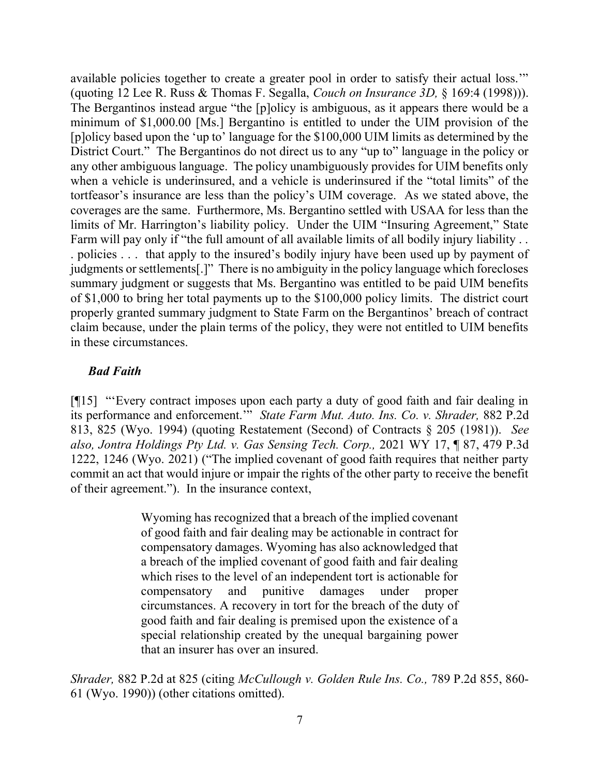available policies together to create a greater pool in order to satisfy their actual loss.'" (quoting 12 Lee R. Russ & Thomas F. Segalla, Couch on Insurance 3D, § 169:4 (1998))). The Bergantinos instead argue "the [p]olicy is ambiguous, as it appears there would be a minimum of \$1,000.00 [Ms.] Bergantino is entitled to under the UIM provision of the [p]olicy based upon the 'up to' language for the \$100,000 UIM limits as determined by the District Court." The Bergantinos do not direct us to any "up to" language in the policy or any other ambiguous language. The policy unambiguously provides for UIM benefits only when a vehicle is underinsured, and a vehicle is underinsured if the "total limits" of the tortfeasor's insurance are less than the policy's UIM coverage. As we stated above, the coverages are the same. Furthermore, Ms. Bergantino settled with USAA for less than the limits of Mr. Harrington's liability policy. Under the UIM "Insuring Agreement," State Farm will pay only if "the full amount of all available limits of all bodily injury liability . . . policies . . . that apply to the insured's bodily injury have been used up by payment of judgments or settlements[.]" There is no ambiguity in the policy language which forecloses summary judgment or suggests that Ms. Bergantino was entitled to be paid UIM benefits of \$1,000 to bring her total payments up to the \$100,000 policy limits. The district court properly granted summary judgment to State Farm on the Bergantinos' breach of contract claim because, under the plain terms of the policy, they were not entitled to UIM benefits in these circumstances.

### Bad Faith

[¶15] "'Every contract imposes upon each party a duty of good faith and fair dealing in its performance and enforcement.'" State Farm Mut. Auto. Ins. Co. v. Shrader, 882 P.2d 813, 825 (Wyo. 1994) (quoting Restatement (Second) of Contracts § 205 (1981)). See also, Jontra Holdings Pty Ltd. v. Gas Sensing Tech. Corp., 2021 WY 17, ¶ 87, 479 P.3d 1222, 1246 (Wyo. 2021) ("The implied covenant of good faith requires that neither party commit an act that would injure or impair the rights of the other party to receive the benefit of their agreement."). In the insurance context,

> Wyoming has recognized that a breach of the implied covenant of good faith and fair dealing may be actionable in contract for compensatory damages. Wyoming has also acknowledged that a breach of the implied covenant of good faith and fair dealing which rises to the level of an independent tort is actionable for compensatory and punitive damages under proper circumstances. A recovery in tort for the breach of the duty of good faith and fair dealing is premised upon the existence of a special relationship created by the unequal bargaining power that an insurer has over an insured.

Shrader, 882 P.2d at 825 (citing McCullough v. Golden Rule Ins. Co., 789 P.2d 855, 860-61 (Wyo. 1990)) (other citations omitted).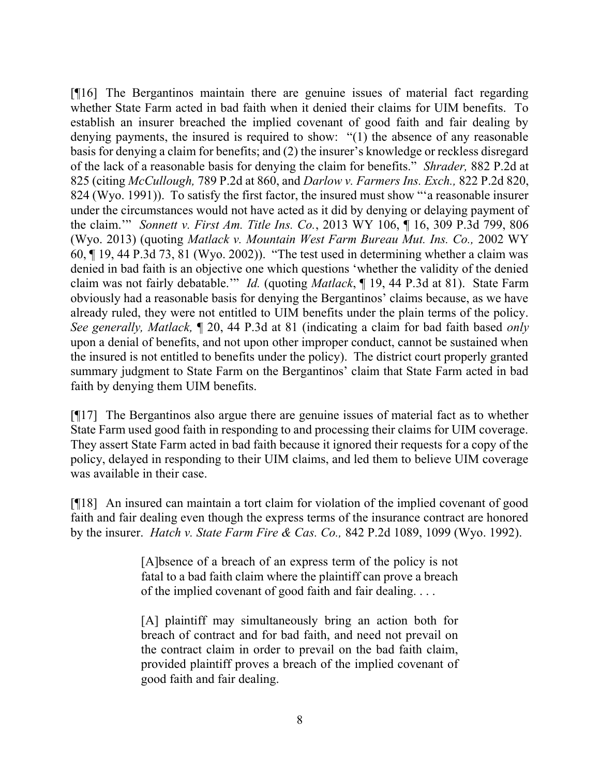[¶16] The Bergantinos maintain there are genuine issues of material fact regarding whether State Farm acted in bad faith when it denied their claims for UIM benefits. To establish an insurer breached the implied covenant of good faith and fair dealing by denying payments, the insured is required to show: "(1) the absence of any reasonable basis for denying a claim for benefits; and (2) the insurer's knowledge or reckless disregard of the lack of a reasonable basis for denying the claim for benefits." Shrader, 882 P.2d at 825 (citing McCullough, 789 P.2d at 860, and Darlow v. Farmers Ins. Exch., 822 P.2d 820, 824 (Wyo. 1991)). To satisfy the first factor, the insured must show "'a reasonable insurer under the circumstances would not have acted as it did by denying or delaying payment of the claim.'" Sonnett v. First Am. Title Ins. Co., 2013 WY 106, ¶ 16, 309 P.3d 799, 806 (Wyo. 2013) (quoting Matlack v. Mountain West Farm Bureau Mut. Ins. Co., 2002 WY 60, ¶ 19, 44 P.3d 73, 81 (Wyo. 2002)). "The test used in determining whether a claim was denied in bad faith is an objective one which questions 'whether the validity of the denied claim was not fairly debatable." *Id.* (quoting *Matlack*, ¶ 19, 44 P.3d at 81). State Farm obviously had a reasonable basis for denying the Bergantinos' claims because, as we have already ruled, they were not entitled to UIM benefits under the plain terms of the policy. See generally, Matlack,  $\P$  20, 44 P.3d at 81 (indicating a claim for bad faith based only upon a denial of benefits, and not upon other improper conduct, cannot be sustained when the insured is not entitled to benefits under the policy). The district court properly granted summary judgment to State Farm on the Bergantinos' claim that State Farm acted in bad faith by denying them UIM benefits.

[¶17] The Bergantinos also argue there are genuine issues of material fact as to whether State Farm used good faith in responding to and processing their claims for UIM coverage. They assert State Farm acted in bad faith because it ignored their requests for a copy of the policy, delayed in responding to their UIM claims, and led them to believe UIM coverage was available in their case.

[¶18] An insured can maintain a tort claim for violation of the implied covenant of good faith and fair dealing even though the express terms of the insurance contract are honored by the insurer. Hatch v. State Farm Fire & Cas. Co., 842 P.2d 1089, 1099 (Wyo. 1992).

> [A]bsence of a breach of an express term of the policy is not fatal to a bad faith claim where the plaintiff can prove a breach of the implied covenant of good faith and fair dealing. . . .

> [A] plaintiff may simultaneously bring an action both for breach of contract and for bad faith, and need not prevail on the contract claim in order to prevail on the bad faith claim, provided plaintiff proves a breach of the implied covenant of good faith and fair dealing.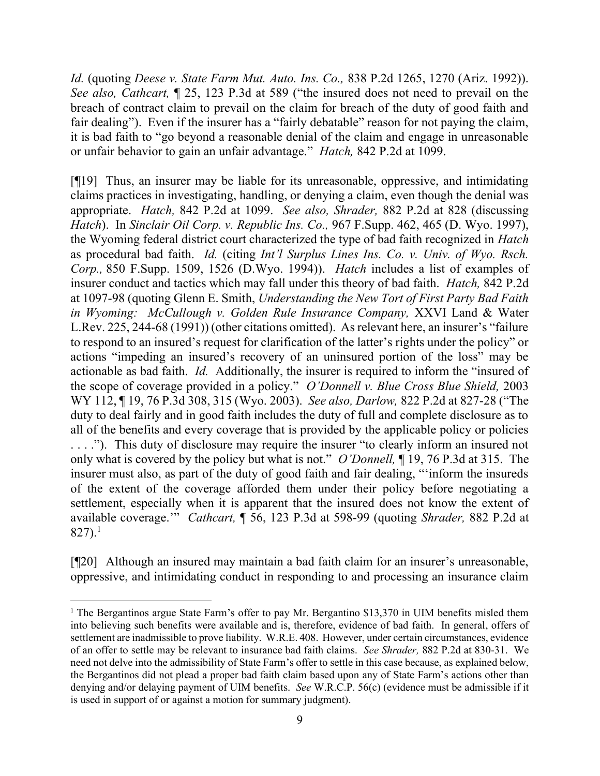Id. (quoting Deese v. State Farm Mut. Auto. Ins. Co., 838 P.2d 1265, 1270 (Ariz. 1992)). See also, Cathcart,  $\P$  25, 123 P.3d at 589 ("the insured does not need to prevail on the breach of contract claim to prevail on the claim for breach of the duty of good faith and fair dealing"). Even if the insurer has a "fairly debatable" reason for not paying the claim, it is bad faith to "go beyond a reasonable denial of the claim and engage in unreasonable or unfair behavior to gain an unfair advantage." Hatch, 842 P.2d at 1099.

[¶19] Thus, an insurer may be liable for its unreasonable, oppressive, and intimidating claims practices in investigating, handling, or denying a claim, even though the denial was appropriate. Hatch, 842 P.2d at 1099. See also, Shrader, 882 P.2d at 828 (discussing Hatch). In Sinclair Oil Corp. v. Republic Ins. Co., 967 F.Supp. 462, 465 (D. Wyo. 1997), the Wyoming federal district court characterized the type of bad faith recognized in Hatch as procedural bad faith. Id. (citing Int'l Surplus Lines Ins. Co. v. Univ. of Wyo. Rsch. Corp., 850 F.Supp. 1509, 1526 (D.Wyo. 1994)). Hatch includes a list of examples of insurer conduct and tactics which may fall under this theory of bad faith. Hatch, 842 P.2d at 1097-98 (quoting Glenn E. Smith, Understanding the New Tort of First Party Bad Faith in Wyoming: McCullough v. Golden Rule Insurance Company, XXVI Land & Water L.Rev. 225, 244-68 (1991)) (other citations omitted). As relevant here, an insurer's "failure to respond to an insured's request for clarification of the latter's rights under the policy" or actions "impeding an insured's recovery of an uninsured portion of the loss" may be actionable as bad faith. Id. Additionally, the insurer is required to inform the "insured of the scope of coverage provided in a policy." O'Donnell v. Blue Cross Blue Shield, 2003 WY 112, ¶ 19, 76 P.3d 308, 315 (Wyo. 2003). See also, Darlow, 822 P.2d at 827-28 ("The duty to deal fairly and in good faith includes the duty of full and complete disclosure as to all of the benefits and every coverage that is provided by the applicable policy or policies . . . ."). This duty of disclosure may require the insurer "to clearly inform an insured not only what is covered by the policy but what is not." O'Donnell, ¶ 19, 76 P.3d at 315. The insurer must also, as part of the duty of good faith and fair dealing, "'inform the insureds of the extent of the coverage afforded them under their policy before negotiating a settlement, especially when it is apparent that the insured does not know the extent of available coverage.'" Cathcart, ¶ 56, 123 P.3d at 598-99 (quoting Shrader, 882 P.2d at 827).<sup>1</sup>

[¶20] Although an insured may maintain a bad faith claim for an insurer's unreasonable, oppressive, and intimidating conduct in responding to and processing an insurance claim

<sup>&</sup>lt;sup>1</sup> The Bergantinos argue State Farm's offer to pay Mr. Bergantino \$13,370 in UIM benefits misled them into believing such benefits were available and is, therefore, evidence of bad faith. In general, offers of settlement are inadmissible to prove liability. W.R.E. 408. However, under certain circumstances, evidence of an offer to settle may be relevant to insurance bad faith claims. See Shrader, 882 P.2d at 830-31. We need not delve into the admissibility of State Farm's offer to settle in this case because, as explained below, the Bergantinos did not plead a proper bad faith claim based upon any of State Farm's actions other than denying and/or delaying payment of UIM benefits. See W.R.C.P. 56(c) (evidence must be admissible if it is used in support of or against a motion for summary judgment).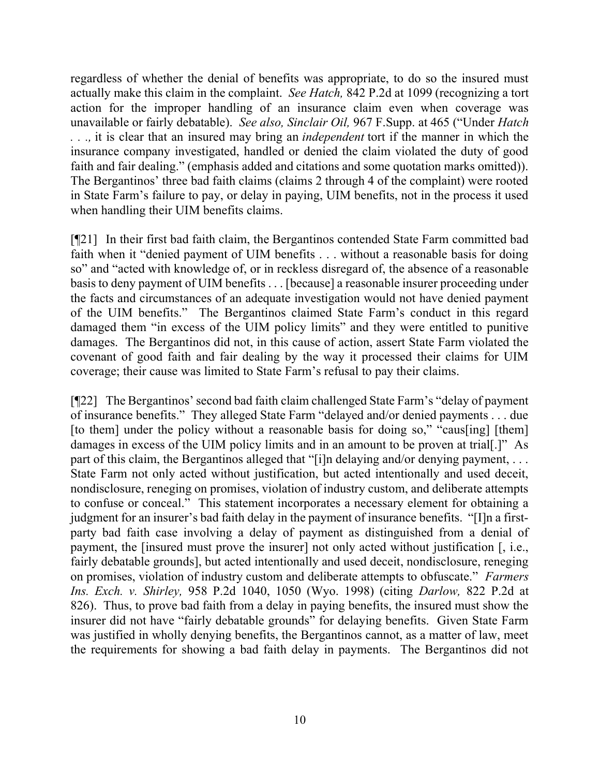regardless of whether the denial of benefits was appropriate, to do so the insured must actually make this claim in the complaint. See Hatch, 842 P.2d at 1099 (recognizing a tort action for the improper handling of an insurance claim even when coverage was unavailable or fairly debatable). See also, Sinclair Oil, 967 F. Supp. at 465 ("Under Hatch . . ., it is clear that an insured may bring an *independent* tort if the manner in which the insurance company investigated, handled or denied the claim violated the duty of good faith and fair dealing." (emphasis added and citations and some quotation marks omitted)). The Bergantinos' three bad faith claims (claims 2 through 4 of the complaint) were rooted in State Farm's failure to pay, or delay in paying, UIM benefits, not in the process it used when handling their UIM benefits claims.

[¶21] In their first bad faith claim, the Bergantinos contended State Farm committed bad faith when it "denied payment of UIM benefits . . . without a reasonable basis for doing so" and "acted with knowledge of, or in reckless disregard of, the absence of a reasonable basis to deny payment of UIM benefits . . . [because] a reasonable insurer proceeding under the facts and circumstances of an adequate investigation would not have denied payment of the UIM benefits." The Bergantinos claimed State Farm's conduct in this regard damaged them "in excess of the UIM policy limits" and they were entitled to punitive damages. The Bergantinos did not, in this cause of action, assert State Farm violated the covenant of good faith and fair dealing by the way it processed their claims for UIM coverage; their cause was limited to State Farm's refusal to pay their claims.

[¶22] The Bergantinos' second bad faith claim challenged State Farm's "delay of payment of insurance benefits." They alleged State Farm "delayed and/or denied payments . . . due [to them] under the policy without a reasonable basis for doing so," "caus[ing] [them] damages in excess of the UIM policy limits and in an amount to be proven at trial.<sup>[1]</sup> As part of this claim, the Bergantinos alleged that "[i]n delaying and/or denying payment, ... State Farm not only acted without justification, but acted intentionally and used deceit, nondisclosure, reneging on promises, violation of industry custom, and deliberate attempts to confuse or conceal." This statement incorporates a necessary element for obtaining a judgment for an insurer's bad faith delay in the payment of insurance benefits. "[I]n a firstparty bad faith case involving a delay of payment as distinguished from a denial of payment, the [insured must prove the insurer] not only acted without justification [, i.e., fairly debatable grounds], but acted intentionally and used deceit, nondisclosure, reneging on promises, violation of industry custom and deliberate attempts to obfuscate." Farmers Ins. Exch. v. Shirley, 958 P.2d 1040, 1050 (Wyo. 1998) (citing Darlow, 822 P.2d at 826). Thus, to prove bad faith from a delay in paying benefits, the insured must show the insurer did not have "fairly debatable grounds" for delaying benefits. Given State Farm was justified in wholly denying benefits, the Bergantinos cannot, as a matter of law, meet the requirements for showing a bad faith delay in payments. The Bergantinos did not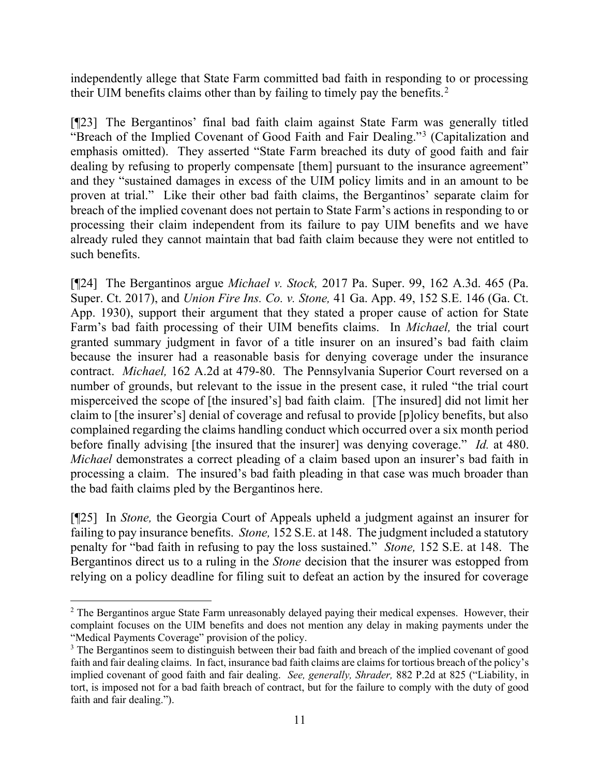independently allege that State Farm committed bad faith in responding to or processing their UIM benefits claims other than by failing to timely pay the benefits.<sup>2</sup>

[¶23] The Bergantinos' final bad faith claim against State Farm was generally titled "Breach of the Implied Covenant of Good Faith and Fair Dealing."<sup>3</sup> (Capitalization and emphasis omitted). They asserted "State Farm breached its duty of good faith and fair dealing by refusing to properly compensate [them] pursuant to the insurance agreement" and they "sustained damages in excess of the UIM policy limits and in an amount to be proven at trial." Like their other bad faith claims, the Bergantinos' separate claim for breach of the implied covenant does not pertain to State Farm's actions in responding to or processing their claim independent from its failure to pay UIM benefits and we have already ruled they cannot maintain that bad faith claim because they were not entitled to such benefits.

[¶24] The Bergantinos argue Michael v. Stock, 2017 Pa. Super. 99, 162 A.3d. 465 (Pa. Super. Ct. 2017), and Union Fire Ins. Co. v. Stone, 41 Ga. App. 49, 152 S.E. 146 (Ga. Ct. App. 1930), support their argument that they stated a proper cause of action for State Farm's bad faith processing of their UIM benefits claims. In Michael, the trial court granted summary judgment in favor of a title insurer on an insured's bad faith claim because the insurer had a reasonable basis for denying coverage under the insurance contract. Michael, 162 A.2d at 479-80. The Pennsylvania Superior Court reversed on a number of grounds, but relevant to the issue in the present case, it ruled "the trial court misperceived the scope of [the insured's] bad faith claim. [The insured] did not limit her claim to [the insurer's] denial of coverage and refusal to provide [p]olicy benefits, but also complained regarding the claims handling conduct which occurred over a six month period before finally advising [the insured that the insurer] was denying coverage." Id. at 480. Michael demonstrates a correct pleading of a claim based upon an insurer's bad faith in processing a claim. The insured's bad faith pleading in that case was much broader than the bad faith claims pled by the Bergantinos here.

[¶25] In Stone, the Georgia Court of Appeals upheld a judgment against an insurer for failing to pay insurance benefits. Stone, 152 S.E. at 148. The judgment included a statutory penalty for "bad faith in refusing to pay the loss sustained." Stone, 152 S.E. at 148. The Bergantinos direct us to a ruling in the Stone decision that the insurer was estopped from relying on a policy deadline for filing suit to defeat an action by the insured for coverage

<sup>&</sup>lt;sup>2</sup> The Bergantinos argue State Farm unreasonably delayed paying their medical expenses. However, their complaint focuses on the UIM benefits and does not mention any delay in making payments under the "Medical Payments Coverage" provision of the policy.

<sup>&</sup>lt;sup>3</sup> The Bergantinos seem to distinguish between their bad faith and breach of the implied covenant of good faith and fair dealing claims. In fact, insurance bad faith claims are claims for tortious breach of the policy's implied covenant of good faith and fair dealing. See, generally, Shrader, 882 P.2d at 825 ("Liability, in tort, is imposed not for a bad faith breach of contract, but for the failure to comply with the duty of good faith and fair dealing.").